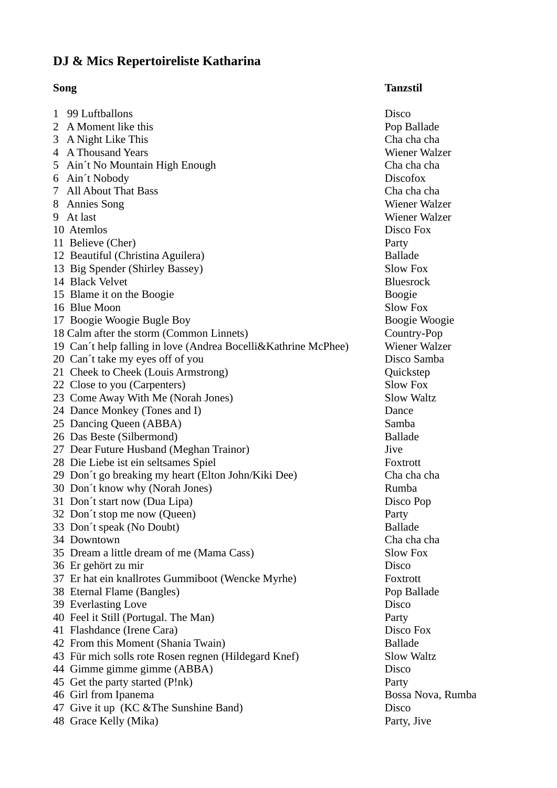## **DJ & Mics Repertoireliste Katharina**

## **Song Tanzstil**

1 99 Luftballons Disco 2 A Moment like this **Pop Ballade** 3 A Night Like This Cha cha cha 4 A Thousand Years Wiener Walzer 5 Ain´t No Mountain High Enough Cha cha cha 6 Ain´t Nobody Discofox 7 All About That Bass Cha cha cha 8 Annies Song Wiener Walzer 9 At last Wiener Walzer 10 Atemlos Disco Fox 11 Believe (Cher) **Party** 12 Beautiful (Christina Aguilera) Ballade 13 Big Spender (Shirley Bassey) Slow Fox 14 Black Velvet Bluesrock 15 Blame it on the Boogie **Boogie** Boogie Boogie Boogie Boogie 16 Blue Moon Slow Fox 17 Boogie Woogie Bugle Boy **Boogie Woogie Woogie Woogie** 18 Calm after the storm (Common Linnets) Country-Pop 19 Can´t help falling in love (Andrea Bocelli&Kathrine McPhee) Wiener Walzer 20 Can't take my eyes off of you Disco Samba 21 Cheek to Cheek (Louis Armstrong) Quickstep 22 Close to you (Carpenters) Slow Fox 23 Come Away With Me (Norah Jones) Slow Waltz 24 Dance Monkey (Tones and I) Dance 25 Dancing Queen (ABBA) Samba 26 Das Beste (Silbermond) Ballade 27 Dear Future Husband (Meghan Trainor) Jive 28 Die Liebe ist ein seltsames Spiel Foxtrott 29 Don´t go breaking my heart (Elton John/Kiki Dee) Cha cha cha 30 Don't know why (Norah Jones) Rumba 31 Don't start now (Dua Lipa) Disco Pop 32 Don´t stop me now (Queen) Party 33 Don't speak (No Doubt) Ballade 34 Downtown Cha cha cha 35 Dream a little dream of me (Mama Cass) Slow Fox 36 Er gehört zu mir Disco 37 Er hat ein knallrotes Gummiboot (Wencke Myrhe) Foxtrott 38 Eternal Flame (Bangles) **Pop Ballade** 39 Everlasting Love **Disco** 40 Feel it Still (Portugal. The Man) Party 41 Flashdance (Irene Cara) Disco Fox 42 From this Moment (Shania Twain) Ballade 43 Für mich solls rote Rosen regnen (Hildegard Knef) Slow Waltz 44 Gimme gimme gimme (ABBA) Disco 45 Get the party started (P!nk) Party 46 Girl from Ipanema **Bossa Nova**, Rumba 47 Give it up (KC &The Sunshine Band) Disco 48 Grace Kelly (Mika) Party, Jive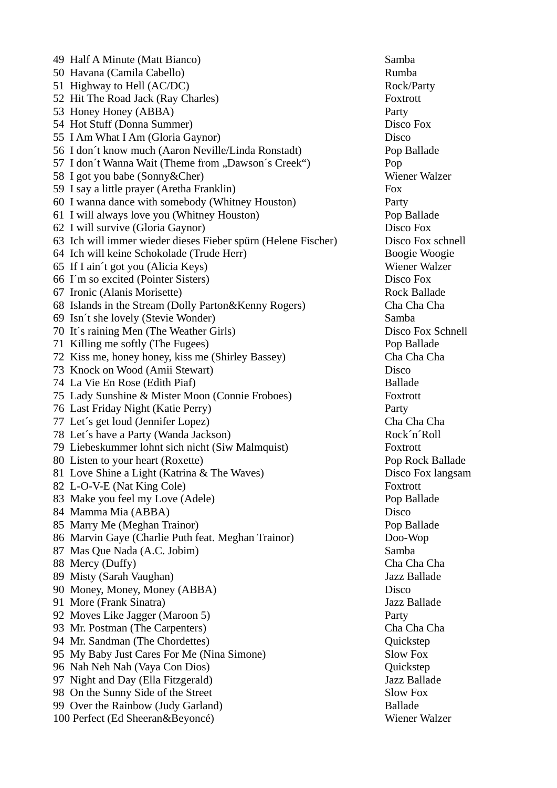49 Half A Minute (Matt Bianco) Samba 50 Havana (Camila Cabello) Rumba 51 Highway to Hell (AC/DC) Rock/Party 52 Hit The Road Jack (Ray Charles) Foxtrott 53 Honey Honey (ABBA) Party 54 Hot Stuff (Donna Summer) Disco Fox 55 I Am What I Am (Gloria Gaynor) Disco 56 I don´t know much (Aaron Neville/Linda Ronstadt) Pop Ballade 57 I don't Wanna Wait (Theme from "Dawson's Creek") Pop 58 I got you babe (Sonny&Cher) Wiener Walzer 59 I say a little prayer (Aretha Franklin) Fox 60 I wanna dance with somebody (Whitney Houston) Party 61 I will always love you (Whitney Houston) Pop Ballade 62 I will survive (Gloria Gaynor) Disco Fox 63 Ich will immer wieder dieses Fieber spürn (Helene Fischer) Disco Fox schnell 64 Ich will keine Schokolade (Trude Herr) Boogie Woogie 65 If I ain´t got you (Alicia Keys) Wiener Walzer 66 I´m so excited (Pointer Sisters) Disco Fox 67 Ironic (Alanis Morisette) **Rock Ballade** 68 Islands in the Stream (Dolly Parton&Kenny Rogers) Cha Cha Cha 69 Isn´t she lovely (Stevie Wonder) Samba 70 It´s raining Men (The Weather Girls) Disco Fox Schnell 71 Killing me softly (The Fugees) Pop Ballade 72 Kiss me, honey honey, kiss me (Shirley Bassey) Cha Cha Cha 73 Knock on Wood (Amii Stewart) Disco 74 La Vie En Rose (Edith Piaf) Ballade 75 Lady Sunshine & Mister Moon (Connie Froboes) Foxtrott 76 Last Friday Night (Katie Perry) Party 77 Let´s get loud (Jennifer Lopez) Cha Cha Cha 78 Let's have a Party (Wanda Jackson) Rock'n'Roll 79 Liebeskummer lohnt sich nicht (Siw Malmquist) Foxtrott 80 Listen to your heart (Roxette) Pop Rock Ballade 81 Love Shine a Light (Katrina & The Waves) Disco Fox langsam 82 L-O-V-E (Nat King Cole) Foxtrott 83 Make you feel my Love (Adele) example a pop Ballade 84 Mamma Mia (ABBA) Disco 85 Marry Me (Meghan Trainor) **Pop Ballade** 86 Marvin Gaye (Charlie Puth feat. Meghan Trainor) Doo-Wop 87 Mas Que Nada (A.C. Jobim) Samba 88 Mercy (Duffy) Cha Cha Cha 89 Misty (Sarah Vaughan) Jazz Ballade 90 Money, Money, Money (ABBA) Disco 91 More (Frank Sinatra) Jazz Ballade 92 Moves Like Jagger (Maroon 5) Party 93 Mr. Postman (The Carpenters) Cha Cha Cha 94 Mr. Sandman (The Chordettes) **Quickstep** Quickstep 95 My Baby Just Cares For Me (Nina Simone) Slow Fox 96 Nah Neh Nah (Vaya Con Dios) Quickstep 97 Night and Day (Ella Fitzgerald) Jazz Ballade 98 On the Sunny Side of the Street Slow Fox 99 Over the Rainbow (Judy Garland) Ballade 100 Perfect (Ed Sheeran&Beyoncé) Wiener Walzer